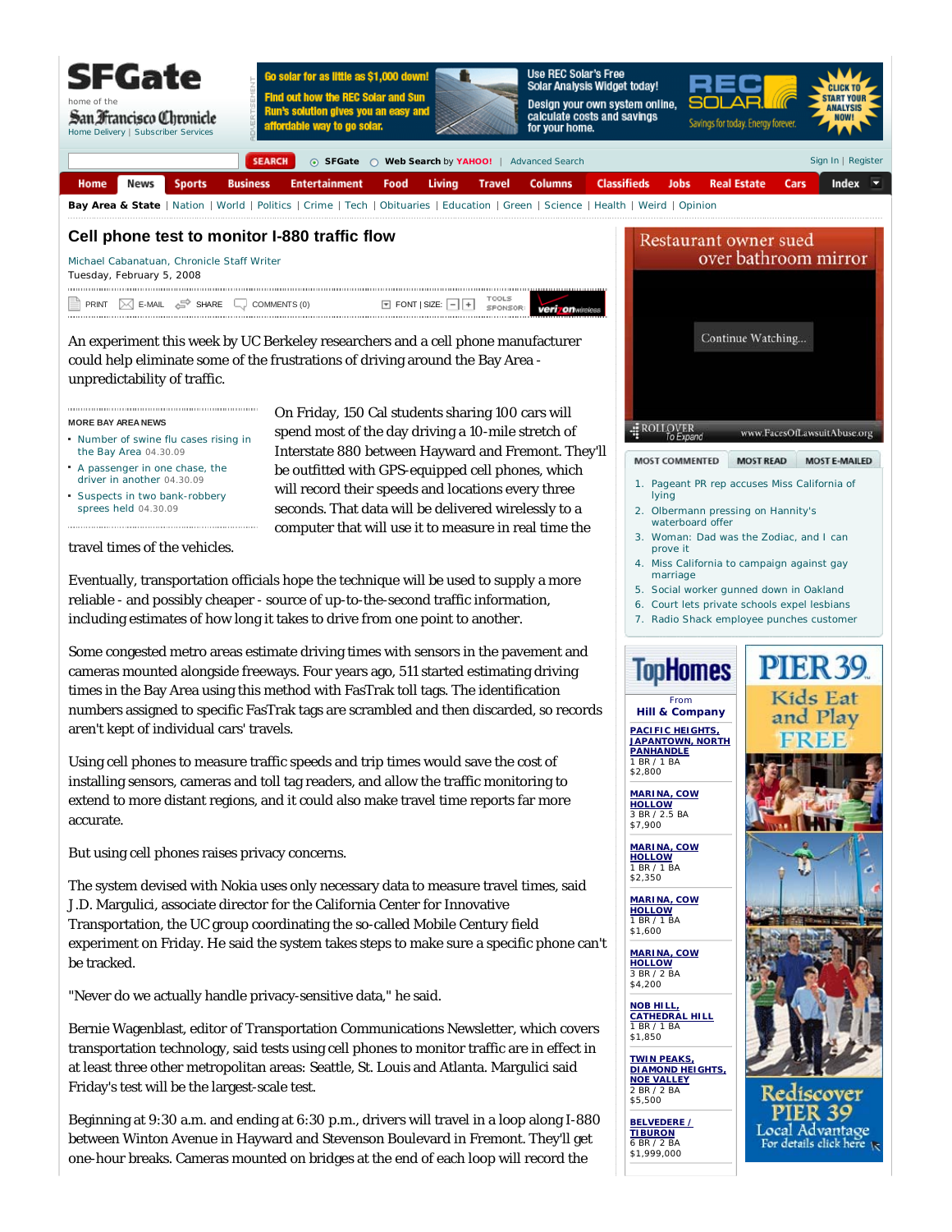

On Friday, 150 Cal students sharing 100 cars will spend most of the day driving a 10-mile stretch of Interstate 880 between Hayward and Fremont. They'll be outfitted with GPS-equipped cell phones, which will record their speeds and locations every three seconds. That data will be delivered wirelessly to a computer that will use it to measure in real time the

## **Cell phone test to monitor I-880 traffic flow**

Michael Cabanatuan, Chronicle Staff Writer Tuesday, February 5, 2008

TOOL C SPONSOR veri on  $\mathsf{PRINT} \quad [\mathbb{X}] \quad \mathsf{E}\text{-}\mathsf{MAIL} \quad \mathbb{S}\mathsf{P}$  SHARE  $\Box\downarrow$  COMMENTS (0)  $\qquad \qquad \blacksquare$  FONT | SIZE:

An experiment this week by UC Berkeley researchers and a cell phone manufacturer could help eliminate some of the frustrations of driving around the Bay Area unpredictability of traffic.

## **MORE BAY AREA NEWS**

- Number of swine flu cases rising in the Bay Area 04.30.09
- A passenger in one chase, the driver in another 04.30.09
- Suspects in two bank-robbery sprees held 04.30.09

travel times of the vehicles.

Eventually, transportation officials hope the technique will be used to supply a more reliable - and possibly cheaper - source of up-to-the-second traffic information, including estimates of how long it takes to drive from one point to another.

Some congested metro areas estimate driving times with sensors in the pavement and cameras mounted alongside freeways. Four years ago, 511 started estimating driving times in the Bay Area using this method with FasTrak toll tags. The identification numbers assigned to specific FasTrak tags are scrambled and then discarded, so records aren't kept of individual cars' travels.

Using cell phones to measure traffic speeds and trip times would save the cost of installing sensors, cameras and toll tag readers, and allow the traffic monitoring to extend to more distant regions, and it could also make travel time reports far more accurate.

But using cell phones raises privacy concerns.

The system devised with Nokia uses only necessary data to measure travel times, said J.D. Margulici, associate director for the California Center for Innovative Transportation, the UC group coordinating the so-called Mobile Century field experiment on Friday. He said the system takes steps to make sure a specific phone can't be tracked.

"Never do we actually handle privacy-sensitive data," he said.

Bernie Wagenblast, editor of Transportation Communications Newsletter, which covers transportation technology, said tests using cell phones to monitor traffic are in effect in at least three other metropolitan areas: Seattle, St. Louis and Atlanta. Margulici said Friday's test will be the largest-scale test.

Beginning at 9:30 a.m. and ending at 6:30 p.m., drivers will travel in a loop along I-880 between Winton Avenue in Hayward and Stevenson Boulevard in Fremont. They'll get one-hour breaks. Cameras mounted on bridges at the end of each loop will record the